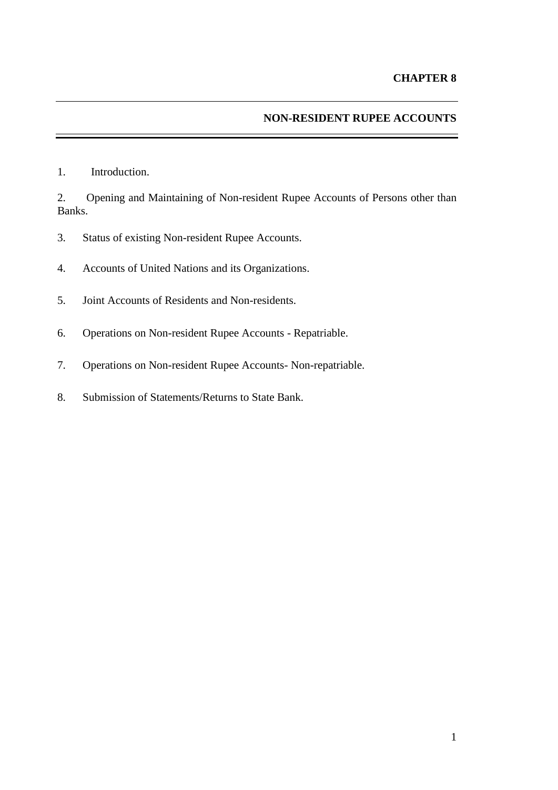## **NON-RESIDENT RUPEE ACCOUNTS**

1. Introduction.

2. Opening and Maintaining of Non-resident Rupee Accounts of Persons other than Banks.

- 3. Status of existing Non-resident Rupee Accounts.
- 4. Accounts of United Nations and its Organizations.
- 5. Joint Accounts of Residents and Non-residents.
- 6. Operations on Non-resident Rupee Accounts Repatriable.
- 7. Operations on Non-resident Rupee Accounts- Non-repatriable.
- 8. Submission of Statements/Returns to State Bank.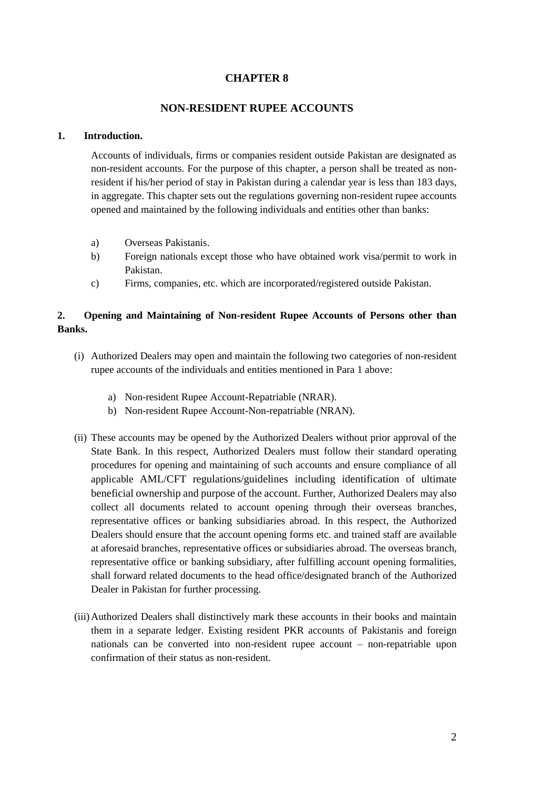## **CHAPTER 8**

## **NON-RESIDENT RUPEE ACCOUNTS**

#### **1. Introduction.**

Accounts of individuals, firms or companies resident outside Pakistan are designated as non-resident accounts. For the purpose of this chapter, a person shall be treated as nonresident if his/her period of stay in Pakistan during a calendar year is less than 183 days, in aggregate. This chapter sets out the regulations governing non-resident rupee accounts opened and maintained by the following individuals and entities other than banks:

- a) Overseas Pakistanis.
- b) Foreign nationals except those who have obtained work visa/permit to work in Pakistan.
- c) Firms, companies, etc. which are incorporated/registered outside Pakistan.

## **2. Opening and Maintaining of Non-resident Rupee Accounts of Persons other than Banks.**

- (i) Authorized Dealers may open and maintain the following two categories of non-resident rupee accounts of the individuals and entities mentioned in Para 1 above:
	- a) Non-resident Rupee Account-Repatriable (NRAR).
	- b) Non-resident Rupee Account-Non-repatriable (NRAN).
- (ii) These accounts may be opened by the Authorized Dealers without prior approval of the State Bank. In this respect, Authorized Dealers must follow their standard operating procedures for opening and maintaining of such accounts and ensure compliance of all applicable AML/CFT regulations/guidelines including identification of ultimate beneficial ownership and purpose of the account. Further, Authorized Dealers may also collect all documents related to account opening through their overseas branches, representative offices or banking subsidiaries abroad. In this respect, the Authorized Dealers should ensure that the account opening forms etc. and trained staff are available at aforesaid branches, representative offices or subsidiaries abroad. The overseas branch, representative office or banking subsidiary, after fulfilling account opening formalities, shall forward related documents to the head office/designated branch of the Authorized Dealer in Pakistan for further processing.
- (iii)Authorized Dealers shall distinctively mark these accounts in their books and maintain them in a separate ledger. Existing resident PKR accounts of Pakistanis and foreign nationals can be converted into non-resident rupee account – non-repatriable upon confirmation of their status as non-resident.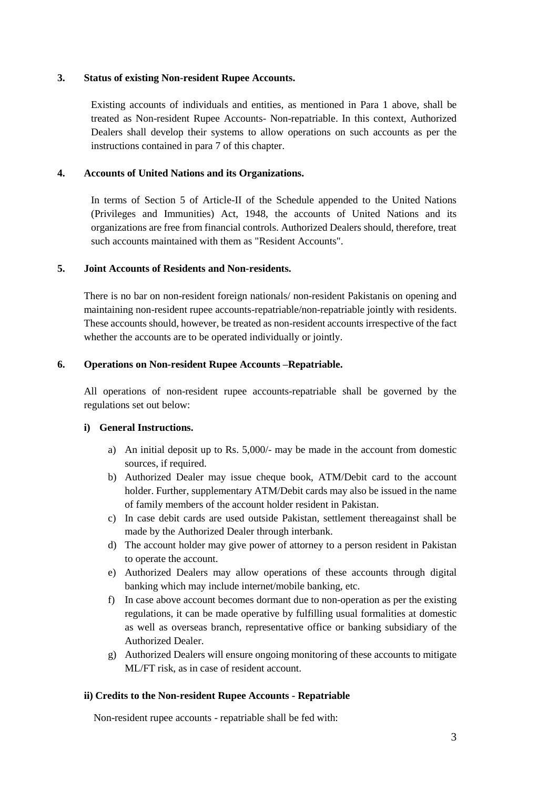#### **3. Status of existing Non-resident Rupee Accounts.**

Existing accounts of individuals and entities, as mentioned in Para 1 above, shall be treated as Non-resident Rupee Accounts- Non-repatriable. In this context, Authorized Dealers shall develop their systems to allow operations on such accounts as per the instructions contained in para 7 of this chapter.

## **4. Accounts of United Nations and its Organizations.**

In terms of Section 5 of Article-II of the Schedule appended to the United Nations (Privileges and Immunities) Act, 1948, the accounts of United Nations and its organizations are free from financial controls. Authorized Dealers should, therefore, treat such accounts maintained with them as "Resident Accounts".

## **5. Joint Accounts of Residents and Non-residents.**

There is no bar on non-resident foreign nationals/ non-resident Pakistanis on opening and maintaining non-resident rupee accounts-repatriable/non-repatriable jointly with residents. These accounts should, however, be treated as non-resident accounts irrespective of the fact whether the accounts are to be operated individually or jointly.

## **6. Operations on Non-resident Rupee Accounts –Repatriable.**

All operations of non-resident rupee accounts-repatriable shall be governed by the regulations set out below:

#### **i) General Instructions.**

- a) An initial deposit up to Rs. 5,000/- may be made in the account from domestic sources, if required.
- b) Authorized Dealer may issue cheque book, ATM/Debit card to the account holder. Further, supplementary ATM/Debit cards may also be issued in the name of family members of the account holder resident in Pakistan.
- c) In case debit cards are used outside Pakistan, settlement thereagainst shall be made by the Authorized Dealer through interbank.
- d) The account holder may give power of attorney to a person resident in Pakistan to operate the account.
- e) Authorized Dealers may allow operations of these accounts through digital banking which may include internet/mobile banking, etc.
- f) In case above account becomes dormant due to non-operation as per the existing regulations, it can be made operative by fulfilling usual formalities at domestic as well as overseas branch, representative office or banking subsidiary of the Authorized Dealer.
- g) Authorized Dealers will ensure ongoing monitoring of these accounts to mitigate ML/FT risk, as in case of resident account.

#### **ii) Credits to the Non-resident Rupee Accounts - Repatriable**

Non-resident rupee accounts - repatriable shall be fed with: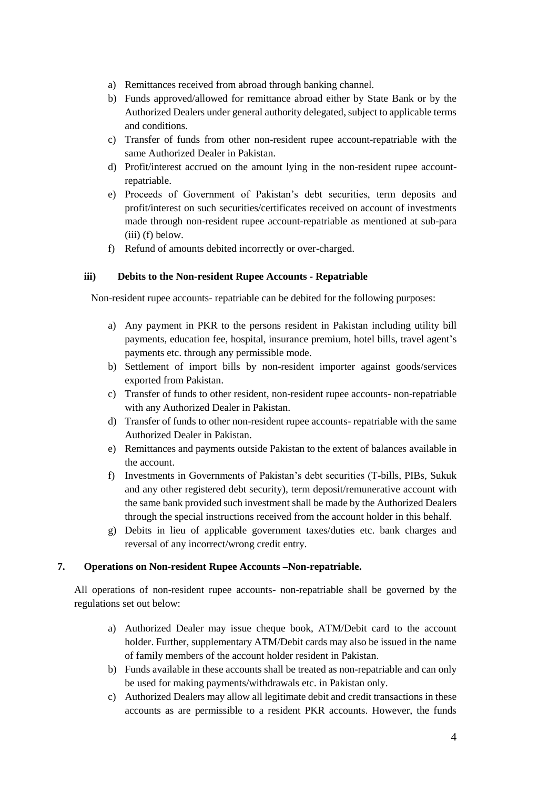- a) Remittances received from abroad through banking channel.
- b) Funds approved/allowed for remittance abroad either by State Bank or by the Authorized Dealers under general authority delegated, subject to applicable terms and conditions.
- c) Transfer of funds from other non-resident rupee account-repatriable with the same Authorized Dealer in Pakistan.
- d) Profit/interest accrued on the amount lying in the non-resident rupee accountrepatriable.
- e) Proceeds of Government of Pakistan's debt securities, term deposits and profit/interest on such securities/certificates received on account of investments made through non-resident rupee account-repatriable as mentioned at sub-para (iii) (f) below.
- f) Refund of amounts debited incorrectly or over-charged.

## **iii) Debits to the Non-resident Rupee Accounts - Repatriable**

Non-resident rupee accounts- repatriable can be debited for the following purposes:

- a) Any payment in PKR to the persons resident in Pakistan including utility bill payments, education fee, hospital, insurance premium, hotel bills, travel agent's payments etc. through any permissible mode.
- b) Settlement of import bills by non-resident importer against goods/services exported from Pakistan.
- c) Transfer of funds to other resident, non-resident rupee accounts- non-repatriable with any Authorized Dealer in Pakistan.
- d) Transfer of funds to other non-resident rupee accounts- repatriable with the same Authorized Dealer in Pakistan.
- e) Remittances and payments outside Pakistan to the extent of balances available in the account.
- f) Investments in Governments of Pakistan's debt securities (T-bills, PIBs, Sukuk and any other registered debt security), term deposit/remunerative account with the same bank provided such investment shall be made by the Authorized Dealers through the special instructions received from the account holder in this behalf.
- g) Debits in lieu of applicable government taxes/duties etc. bank charges and reversal of any incorrect/wrong credit entry.

## **7. Operations on Non-resident Rupee Accounts –Non-repatriable.**

All operations of non-resident rupee accounts- non-repatriable shall be governed by the regulations set out below:

- a) Authorized Dealer may issue cheque book, ATM/Debit card to the account holder. Further, supplementary ATM/Debit cards may also be issued in the name of family members of the account holder resident in Pakistan.
- b) Funds available in these accounts shall be treated as non-repatriable and can only be used for making payments/withdrawals etc. in Pakistan only.
- c) Authorized Dealers may allow all legitimate debit and credit transactions in these accounts as are permissible to a resident PKR accounts. However, the funds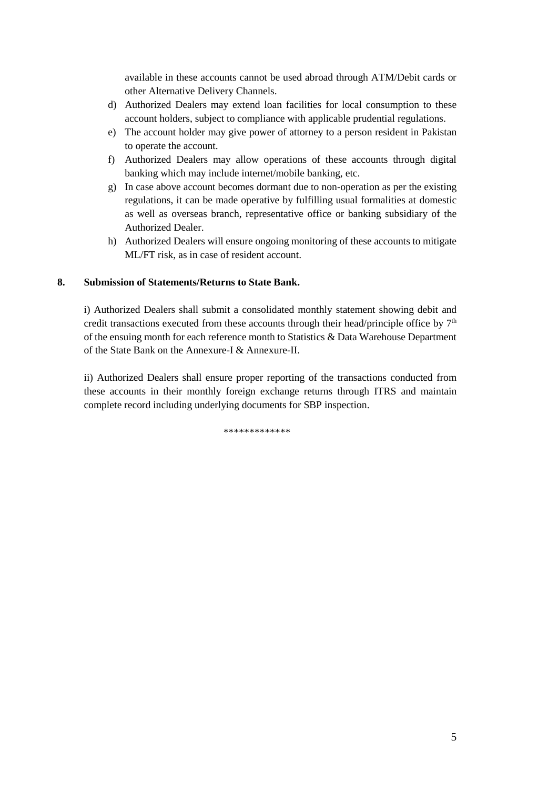available in these accounts cannot be used abroad through ATM/Debit cards or other Alternative Delivery Channels.

- d) Authorized Dealers may extend loan facilities for local consumption to these account holders, subject to compliance with applicable prudential regulations.
- e) The account holder may give power of attorney to a person resident in Pakistan to operate the account.
- f) Authorized Dealers may allow operations of these accounts through digital banking which may include internet/mobile banking, etc.
- g) In case above account becomes dormant due to non-operation as per the existing regulations, it can be made operative by fulfilling usual formalities at domestic as well as overseas branch, representative office or banking subsidiary of the Authorized Dealer.
- h) Authorized Dealers will ensure ongoing monitoring of these accounts to mitigate ML/FT risk, as in case of resident account.

## **8. Submission of Statements/Returns to State Bank.**

i) Authorized Dealers shall submit a consolidated monthly statement showing debit and credit transactions executed from these accounts through their head/principle office by  $7<sup>th</sup>$ of the ensuing month for each reference month to Statistics & Data Warehouse Department of the State Bank on the Annexure-I & Annexure-II.

ii) Authorized Dealers shall ensure proper reporting of the transactions conducted from these accounts in their monthly foreign exchange returns through ITRS and maintain complete record including underlying documents for SBP inspection.

\*\*\*\*\*\*\*\*\*\*\*\*\*